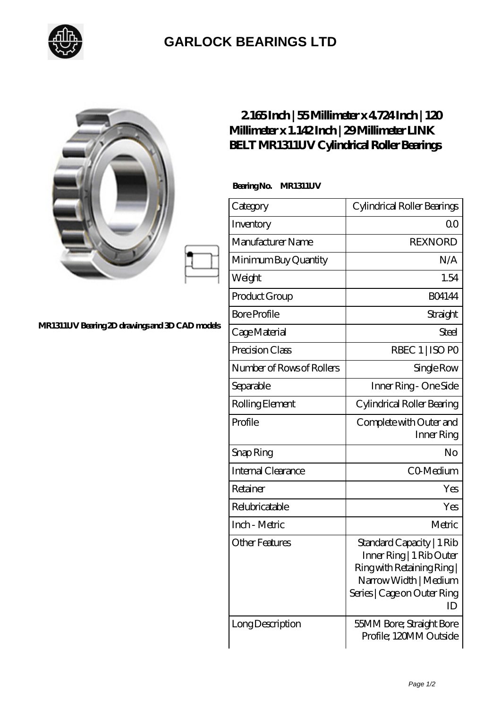

## **[GARLOCK BEARINGS LTD](https://m.letterstopriests.com)**

|                                                | $2165$ Inch   55Millimeter x 4724 Inch   120<br>Millimeter x 1.142Inch   29Millimeter LINK<br><b>BELT MR1311UV Cylindrical Roller Bearings</b> |                                                                                                                                                   |
|------------------------------------------------|------------------------------------------------------------------------------------------------------------------------------------------------|---------------------------------------------------------------------------------------------------------------------------------------------------|
| MR1311UV Bearing 2D drawings and 3D CAD models | Bearing No.<br>MR1311UV                                                                                                                        |                                                                                                                                                   |
|                                                | Category                                                                                                                                       | Cylindrical Roller Bearings                                                                                                                       |
|                                                | Inventory                                                                                                                                      | Q <sub>O</sub>                                                                                                                                    |
|                                                | Manufacturer Name                                                                                                                              | <b>REXNORD</b>                                                                                                                                    |
|                                                | Minimum Buy Quantity                                                                                                                           | N/A                                                                                                                                               |
|                                                | Weight                                                                                                                                         | 1.54                                                                                                                                              |
|                                                | Product Group                                                                                                                                  | <b>BO4144</b>                                                                                                                                     |
|                                                | <b>Bore Profile</b>                                                                                                                            | Straight                                                                                                                                          |
|                                                | Cage Material                                                                                                                                  | Steel                                                                                                                                             |
|                                                | Precision Class                                                                                                                                | RBEC 1   ISO PO                                                                                                                                   |
|                                                | Number of Rows of Rollers                                                                                                                      | Single Row                                                                                                                                        |
|                                                | Separable                                                                                                                                      | Inner Ring - One Side                                                                                                                             |
|                                                | Rolling Element                                                                                                                                | Cylindrical Roller Bearing                                                                                                                        |
|                                                | Profile                                                                                                                                        | Complete with Outer and<br>Inner Ring                                                                                                             |
|                                                | Snap Ring                                                                                                                                      | No                                                                                                                                                |
|                                                | Internal Clearance                                                                                                                             | CO-Medium                                                                                                                                         |
|                                                | Retainer                                                                                                                                       | Yes                                                                                                                                               |
|                                                | Relubricatable                                                                                                                                 | Yes                                                                                                                                               |
|                                                | Inch - Metric                                                                                                                                  | Metric                                                                                                                                            |
|                                                | <b>Other Features</b>                                                                                                                          | Standard Capacity   1 Rib<br>Inner Ring   1 Rib Outer<br>Ring with Retaining Ring  <br>Narrow Width   Medium<br>Series   Cage on Outer Ring<br>ID |
|                                                | Long Description                                                                                                                               | 55MM Bore; Straight Bore<br>Profile; 120MM Outside                                                                                                |